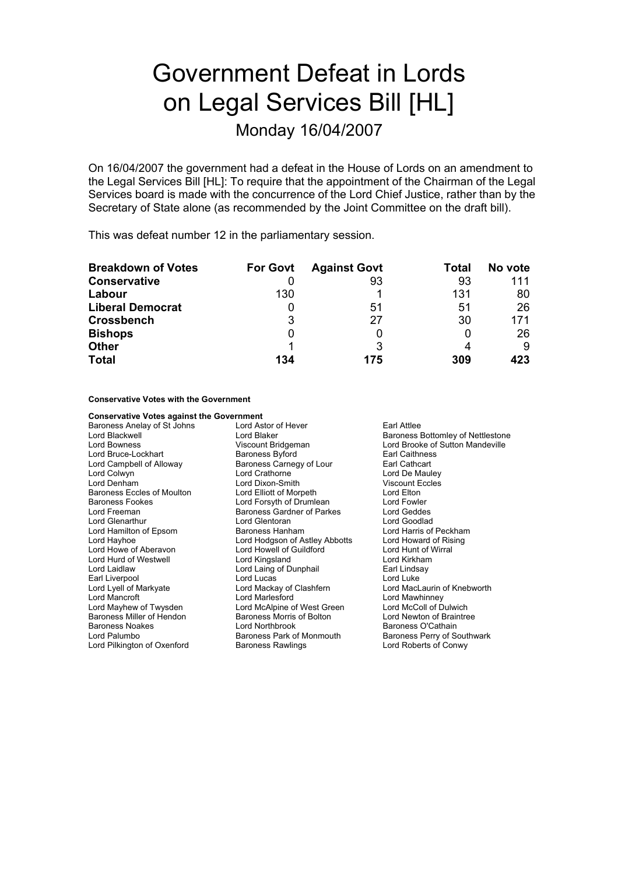# Government Defeat in Lords on Legal Services Bill [HL]

Monday 16/04/2007

On 16/04/2007 the government had a defeat in the House of Lords on an amendment to the Legal Services Bill [HL]: To require that the appointment of the Chairman of the Legal Services board is made with the concurrence of the Lord Chief Justice, rather than by the Secretary of State alone (as recommended by the Joint Committee on the draft bill).

This was defeat number 12 in the parliamentary session.

| <b>Breakdown of Votes</b> | <b>For Govt</b> | <b>Against Govt</b> | Total | No vote |
|---------------------------|-----------------|---------------------|-------|---------|
| <b>Conservative</b>       |                 | 93                  | 93    | 111     |
| Labour                    | 130             |                     | 131   | 80      |
| <b>Liberal Democrat</b>   |                 | 51                  | 51    | 26      |
| <b>Crossbench</b>         | 3               | 27                  | 30    | 171     |
| <b>Bishops</b>            |                 |                     |       | 26      |
| <b>Other</b>              |                 |                     |       | 9       |
| <b>Total</b>              | 134             | 175                 | 309   | 423     |

**Conservative Votes with the Government**

| <b>Conservative Votes against the Government</b> |                                |                                   |  |
|--------------------------------------------------|--------------------------------|-----------------------------------|--|
| Baroness Anelay of St Johns                      | Lord Astor of Hever            | Earl Attlee                       |  |
| Lord Blackwell                                   | Lord Blaker                    | Baroness Bottomley of Nettlestone |  |
| Lord Bowness                                     | Viscount Bridgeman             | Lord Brooke of Sutton Mandeville  |  |
| Lord Bruce-Lockhart                              | <b>Baroness Byford</b>         | Earl Caithness                    |  |
| Lord Campbell of Alloway                         | Baroness Carnegy of Lour       | Earl Cathcart                     |  |
| Lord Colwyn                                      | Lord Crathorne                 | Lord De Mauley                    |  |
| Lord Denham                                      | Lord Dixon-Smith               | <b>Viscount Eccles</b>            |  |
| Baroness Eccles of Moulton                       | Lord Elliott of Morpeth        | Lord Elton                        |  |
| <b>Baroness Fookes</b>                           | Lord Forsyth of Drumlean       | Lord Fowler                       |  |
| Lord Freeman                                     | Baroness Gardner of Parkes     | Lord Geddes                       |  |
| Lord Glenarthur                                  | Lord Glentoran                 | Lord Goodlad                      |  |
| Lord Hamilton of Epsom                           | Baroness Hanham                | Lord Harris of Peckham            |  |
| Lord Hayhoe                                      | Lord Hodgson of Astley Abbotts | Lord Howard of Rising             |  |
| Lord Howe of Aberavon                            | Lord Howell of Guildford       | Lord Hunt of Wirral               |  |
| Lord Hurd of Westwell                            | Lord Kingsland                 | Lord Kirkham                      |  |
| Lord Laidlaw                                     | Lord Laing of Dunphail         | Earl Lindsay                      |  |
| Earl Liverpool                                   | Lord Lucas                     | Lord Luke                         |  |
| Lord Lyell of Markyate                           | Lord Mackay of Clashfern       | Lord MacLaurin of Knebworth       |  |
| Lord Mancroft                                    | Lord Marlesford                | Lord Mawhinney                    |  |
| Lord Mayhew of Twysden                           | Lord McAlpine of West Green    | Lord McColl of Dulwich            |  |
| Baroness Miller of Hendon                        | Baroness Morris of Bolton      | Lord Newton of Braintree          |  |
| <b>Baroness Noakes</b>                           | Lord Northbrook                | Baroness O'Cathain                |  |
| Lord Palumbo                                     | Baroness Park of Monmouth      | Baroness Perry of Southwark       |  |
| Lord Pilkington of Oxenford                      | <b>Baroness Rawlings</b>       | Lord Roberts of Conwy             |  |
|                                                  |                                |                                   |  |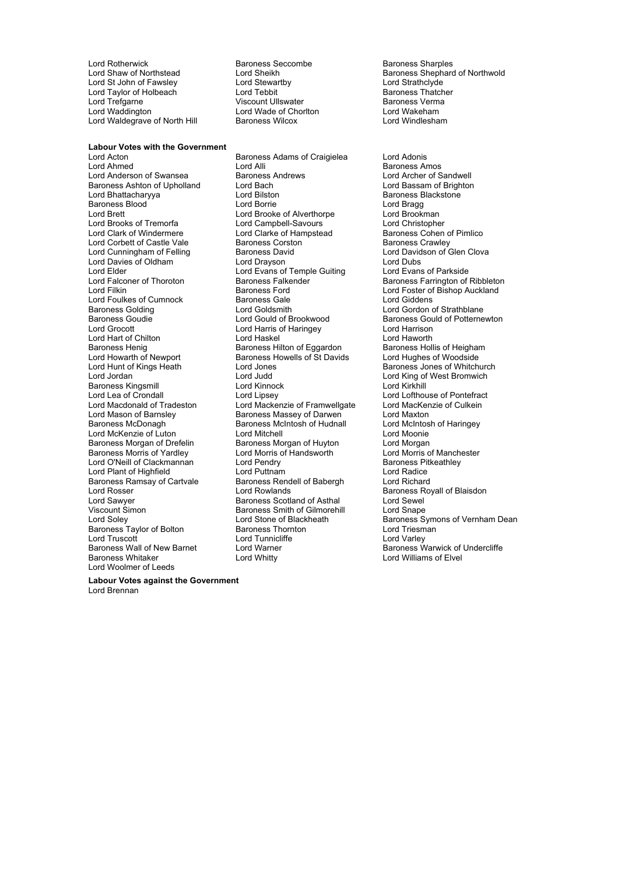Lord Rotherwick Baroness Seccombe Baroness Sharples Lord St John of Fawsley Lord Stewartby Lord Stewar Lord Strathclyde<br>
Lord Taylor of Holbeach Lord Tebbit Lord Tebbit Rampess Thatcher Lord Taylor of Holbeach **Communist Construction Communist Construction**<br>Cord Trefgarne **Communist Baroness Terma**<br>Baroness Verma Lord Trefgarne **Viscount Ullswater Community** Care Baroness Verman Viscount Ullswater Communisty Communisty Comm<br>
Lord Waddington Lord Wade of Choriton Communisty Cord Wakeham Lord Waldegrave of North Hill

**Labour Votes with the Government** 

Lord Wade of Chorlton Lord Wakeham<br>Baroness Wilcox **Lord Windlesham** 

Lord Acton **Baroness Adams of Craigielea** Lord Adonis<br>
Lord Ahmed **Baroness Adams** Lord Alli Lord Anderson of Swansea Baroness Ashton of Upholland Lord Bach Lord Bassam of Brighton<br>
Lord Bhattacharyva Lord Bilston Lord Baroness Blackstone Lord Bhattachary a y Lord Bilston Baroness Blackstone Baroness Blood **Contract Contract Contract Contract Contract Contract Contract Contract Contract Contract Contract Contract Contract Contract Contract Lord Brookman<br>Lord Brookman** Lord Brooks of Tremorfa Lord Campbell-Savours Cord Christopher<br>
Lord Clark of Windermere Lord Clarke of Hampstead Baroness Cohen Lord Corbett of Castle Vale **Baroness Corston**<br>
Lord Cunningham of Felling Baroness David<br>
Lord Davidson of Glen Clova Lord Cunningham of Felling Baroness David Lord Davies of Oldham Lord Drayson<br>
Lord Elder Lord Evans of Temple Guiting Lord Evans of Parkside Lord Elder Lord Evans of Temple Guiting<br>
Lord Falconer of Thoroton<br>
Baroness Falkender Lord Foulkes of Cumnock Baroness Gale<br>Baroness Golding Baroness Lord Goldsmith Baroness Golding The Lord Goldsmith Cordon Conduction Cordon of Strathblane<br>
Baroness Gouldie Cord Gould of Brookwood Baroness Gould of Potterne Lord Grocott Lord Harris of Haringey Lord Harrison Lord Hart of Chilton **Lord Haskel** Lord Havorth Lord Haworth Lord Haworth Lord Haworth Baroness Heligham<br>
Baroness Henig **Baroness Hilton of Eggardon** Baroness Hollis of Heigham Baroness Henig **Baroness Henig Baroness Hollis of Heighar**<br>
Baroness Hollis of Heighar<br>
Lord Hughes of Woodside<br>
Lord Hughes of Woodside Lord Hunt of Kings Heath Lord Jones Baroness Jones of Whitchurch **Baroness Kingsmill<br>Lord Lea of Crondall** Lord Lea of Crondall Lord Lipsey Lord Lipsey Lord Lofthouse of Pontefract<br>
Lord Mackenzie of Framwellgate Lord Mackenzie of Lord Mackenzie of Culkein Lord Macdonald of Tradeston e Lord Mackenzie of Framwellgate Lord MacKer<br>Lord Mason of Barnsley e Baroness Massey of Darwen bord Maxton Lord Mason of Barnsley<br>
Baroness McDonagh<br>
Baroness McDonagh<br>
Baroness McIntosh of Hudnall Lord McKenzie of Luton Lord Mitchell<br>
Baroness Morgan of Drefelin Baroness Morgan of Huyton Lord Morgan Baroness Morgan of Drefelin Baroness Morgan of Huyton Lord Morgan<br>Baroness Morris of Yardley Lord Morris of Handsworth Lord Morris of Manchester Lord O'Neill of Clackmannan and Lord Pendry **Baroness Pitkeathley**<br>
Lord Plant of Highfield **Baroness Cord Puttnam** Baroness Lord Radice Lord Plant of Highfield **Lord Buttom Lord Puttnam** Lord Radice<br>
Baroness Ramsay of Cartvale Baroness Rendell of Babergh Lord Richard Baroness Ramsay of Cartvale Baroness Rendell of Babergh<br>Lord Rosser Lord Rowlands Lord Sawyer **Baroness Scotland of Asthal** Lord Sewel Viscount Simon<br>
Viscount Simon **Baroness Smith of Gilmorehill** Lord Snape Viscount Simon Baroness Smith of Gilmorehill<br>
Lord Soley<br>
Lord Stone of Blackheath Baroness Taylor of Bolton **Baroness Thornton** Cord Triesm<br>
Lord Truscott **Lord Tunnicliffe** Lord Varley Lord Truscott<br>Baroness Wall of New Barnet Lord Warner Baroness Wall of New Barnet Lord Warner Exercise Controller and Multimese Warwick of Undercliffe<br>Baroness Whitaker Lord Whitty Lord Whitty Lord Williams of Flyel Lord Woolmer of Leeds

Lord Alli **Baroness Amos**<br>
Baroness Andrews **Example 20**<br>
Lord Archer of Sandwell Lord Brooke of Alverthorpe Lord Clarke of Hampstead Baroness Cohen of Pimlico<br>Baroness Corston Baroness Crawley Baroness Ford **Exercise Exercise Exercise Ford Foster of Bishop Auckland**<br>
Lord Giddens Baroness Howells of St Davids Lord Jordan Lord Judd Lord King of West Bromwich Lord Morris of Handsworth Lord Whitty **Lord Williams of Elvel** 

Lord Sheikh **Cham of Northwold**<br>
Lord Strathclyde<br>
Lord Strathclyde

Lord Falconer of Thoroton Baroness Falkender Baroness Farrington of Ribbleton<br>
Baroness Ford
Baroness Ford
Baroness Ford
Baroness Ford
Baroness Ford
Baroness Ford
Baroness Ford
Baroness Ford
Baroness Ford
Baroness Ford
Bar Baroness Gould of Potternewton Lord McIntosh of Haringey Baroness Royall of Blaisdon Lord Stone of Blackheath Baroness Symons of Vernham Dean<br>Baroness Thornton Baroness Symons of Vernham Dean

**Labour Votes against the Government** Lord Brennan